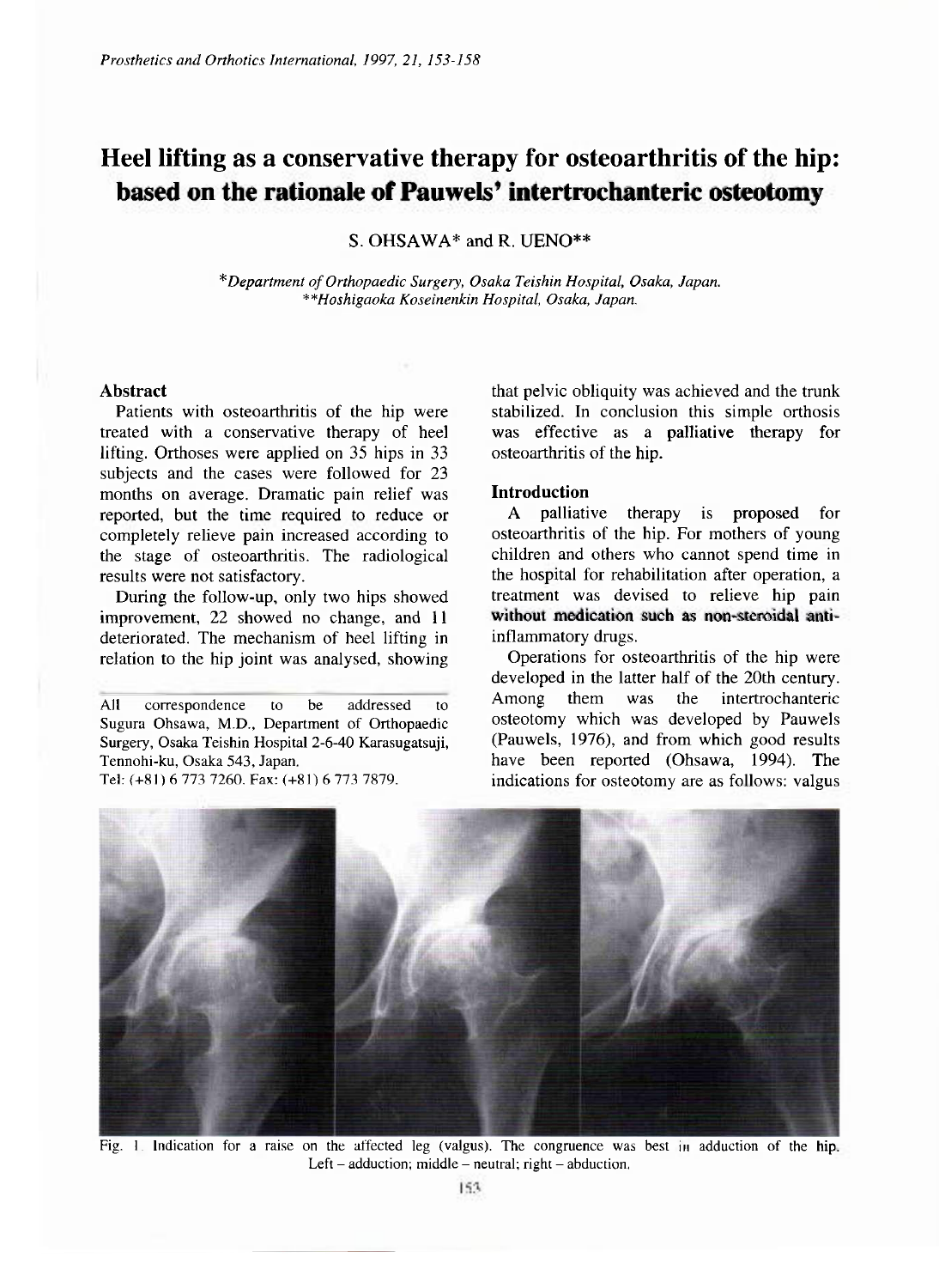# **Heel lifting as a conservative therapy for osteoarthritis of the hip: based on the rationale of Pauwels' intertrochanteric osteotomy**

S. OHSAWA\* and R. UENO\*\*

*\* Department of Orthopaedic Surgery, Osaka Teishin Hospital, Osaka, Japan. \*\*Hoshigaoka Koseinenkin Hospital, Osaka, Japan.* 

#### **Abstract**

Patients with osteoarthritis of the hip were treated with a conservative therapy of heel lifting. Orthoses were applied on 35 hips in 33 subjects and the cases were followed for 23 months on average. Dramatic pain relief was reported, but the time required to reduce or completely relieve pain increased according to the stage of osteoarthritis. The radiological results were not satisfactory.

During the follow-up, only two hips showed improvement, 22 showed no change, and 11 deteriorated. The mechanism of heel lifting in relation to the hip joint was analysed, showing

All correspondence to be addressed to Sugura Ohsawa, M.D., Department of Orthopaedic Surgery, Osaka Teishin Hospital 2-6-40 Karasugatsuji, Tennohi-ku, Osaka 543, Japan. Tel: (+81) 6 773 7260. Fax: (+81) 6 773 7879.

that pelvic obliquity was achieved and the trunk stabilized. In conclusion this simple orthosis was effective as a palliative therapy for osteoarthritis of the hip.

# **Introduction**

A palliative therapy is proposed for osteoarthritis of the hip. For mothers of young children and others who cannot spend time in the hospital for rehabilitation after operation, a treatment was devised to relieve hip pain without medication such as non-steroidal anti-inflammatory drugs.

Operations for osteoarthritis of the hip were developed in the latter half of the 20th century.<br>Among them was the intertrochanteric Among them was the intertrochanteric osteotomy which was developed by Pauwels (Pauwels, 1976), and from which good results have been reported (Ohsawa, 1994). The indications for osteotomy are as follows: valgus



Fig. 1 Indication for a raise on the affected leg (valgus). The congruence was best in adduction of the hip. Left - adduction; middle - neutral; right - abduction.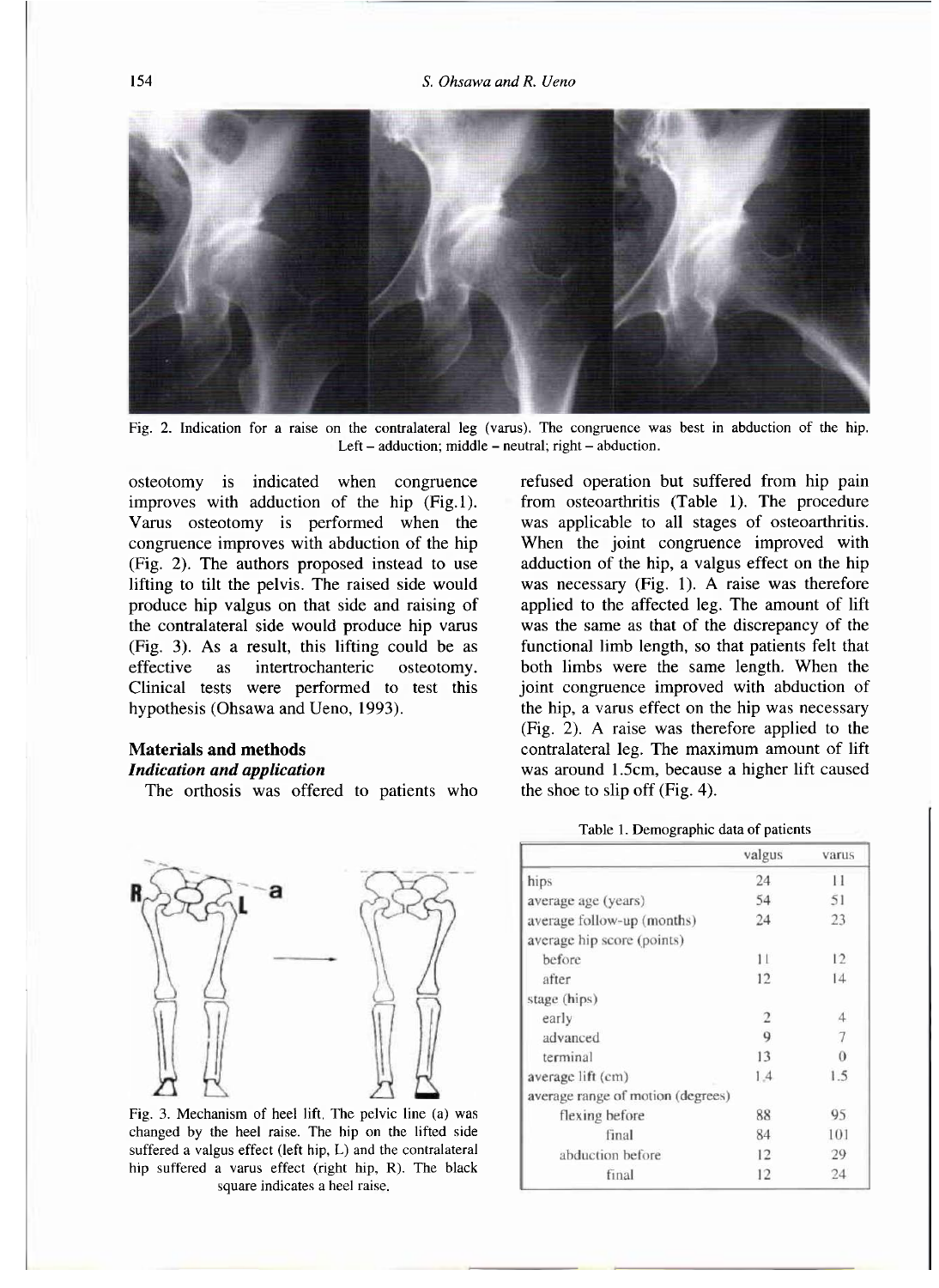

Fig. 2. Indication for a raise on the contralateral leg (varus). The congruence was best in abduction of the hip. Left  $-$  adduction; middle  $-$  neutral; right  $-$  abduction.

osteotomy is indicated when congruence improves with adduction of the hip (Fig.l). Varus osteotomy is performed when the congruence improves with abduction of the hip (Fig. 2). The authors proposed instead to use lifting to tilt the pelvis. The raised side would produce hip valgus on that side and raising of the contralateral side would produce hip varus (Fig. 3). As a result, this lifting could be as effective as intertrochanteric osteotomy. Clinical tests were performed to test this hypothesis (Ohsawa and Ueno, 1993).

## **Materials and methods**

#### *Indication and application*

The orthosis was offered to patients who



Fig. 3. Mechanism of heel lift. The pelvic line (a) was changed by the heel raise. The hip on the lifted side suffered a valgus effect (left hip, L) and the contralateral hip suffered a varus effect (right hip, R). The black square indicates a heel raise.

refused operation but suffered from hip pain from osteoarthritis (Table 1). The procedure was applicable to all stages of osteoarthritis. When the joint congruence improved with adduction of the hip, a valgus effect on the hip was necessary (Fig. 1). A raise was therefore applied to the affected leg. The amount of lift was the same as that of the discrepancy of the functional limb length, so that patients felt that both limbs were the same length. When the joint congruence improved with abduction of the hip, a varus effect on the hip was necessary (Fig. 2). A raise was therefore applied to the contralateral leg. The maximum amount of lift was around 1.5cm, because a higher lift caused the shoe to slip off (Fig. 4).

#### Table 1. Demographic data of patients

|                                   | valgus         | varus          |
|-----------------------------------|----------------|----------------|
| hips                              | 24             | 11             |
| average age (years)               | 54             | 51             |
| average follow-up (months)        | 24             | 23             |
| average hip score (points)        |                |                |
| before                            | 11             | 12             |
| after                             | 12             | 14             |
| stage (hips)                      |                |                |
| early                             | $\overline{c}$ | $\overline{4}$ |
| advanced                          | 9              | 7              |
| terminal                          | 13             | $\Omega$       |
| average lift (cm)                 | 1.4            | 1.5            |
| average range of motion (degrees) |                |                |
| flexing before                    | 88             | 95             |
| final                             | 84             | 101            |
| abduction before                  | 12             | 29             |
| final                             | 12             | 24             |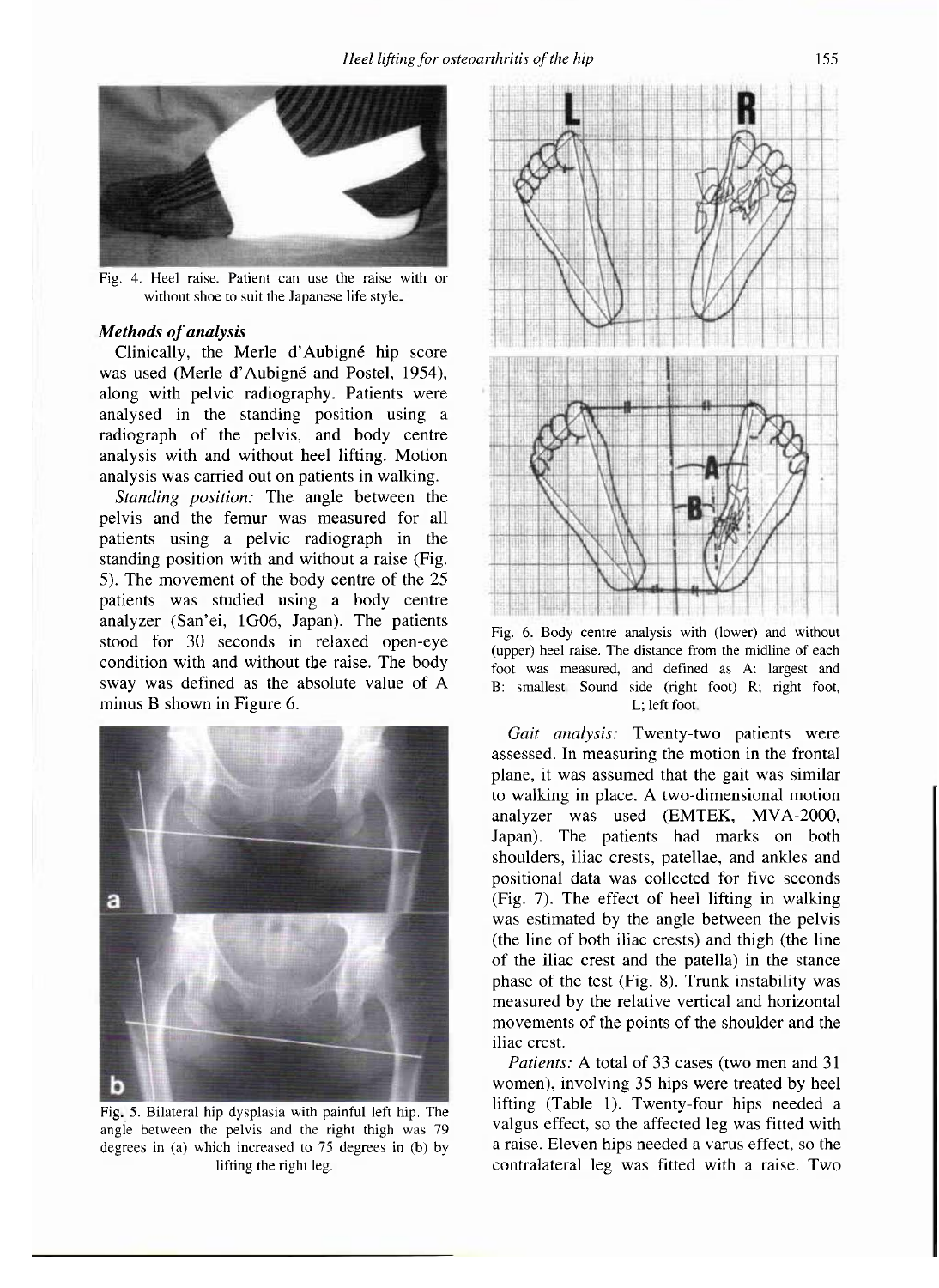

Fig. 4. Heel raise. Patient can use the raise with or without shoe to suit the Japanese life style.

## *Methods of analysis*

Clinically, the Merle d'Aubigné hip score was used (Merle d'Aubigné and Postel, 1954), along with pelvic radiography. Patients were analysed in the standing position using a radiograph of the pelvis, and body centre analysis with and without heel lifting. Motion analysis was carried out on patients in walking.

*Standing position:* The angle between the pelvis and the femur was measured for all patients using a pelvic radiograph in the standing position with and without a raise (Fig. 5). The movement of the body centre of the 25 patients was studied using a body centre analyzer (San'ei, 1G06, Japan). The patients stood for 30 seconds in relaxed open-eye condition with and without the raise. The body sway was defined as the absolute value of A minus B shown in Figure 6.



Fig. 5. Bilateral hip dysplasia with painful left hip. The angle between the pelvis and the right thigh was 79 degrees in (a) which increased to 75 degrees in (b) by lifting the right leg.



Fig. 6. Body centre analysis with (lower) and without (upper) heel raise. The distance from the midline of each foot was measured, and defined as A: largest and B: smallest. Sound side (right foot) R; right foot, L; left foot

*Gait analysis:* Twenty-two patients were assessed. In measuring the motion in the frontal plane, it was assumed that the gait was similar to walking in place. A two-dimensional motion analyzer was used (EMTEK, MVA-2000, Japan). The patients had marks on both shoulders, iliac crests, patellae, and ankles and positional data was collected for five seconds (Fig. 7). The effect of heel lifting in walking was estimated by the angle between the pelvis (the line of both iliac crests) and thigh (the line of the iliac crest and the patella) in the stance phase of the test (Fig. 8). Trunk instability was measured by the relative vertical and horizontal movements of the points of the shoulder and the iliac crest.

*Patients:* A total of 33 cases (two men and 31 women), involving 35 hips were treated by heel lifting (Table 1). Twenty-four hips needed a valgus effect, so the affected leg was fitted with a raise. Eleven hips needed a varus effect, so the contralateral leg was fitted with a raise. Two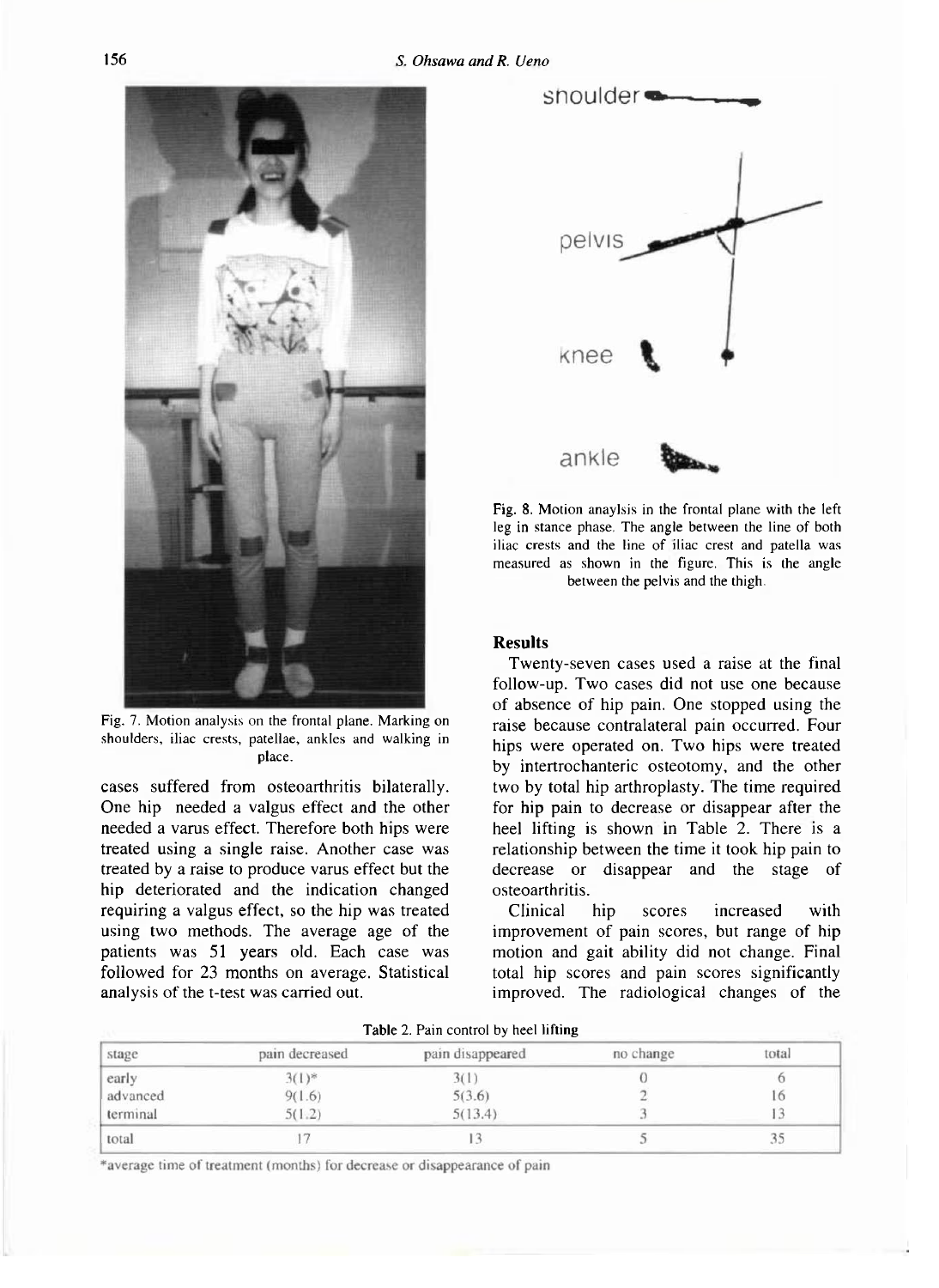

Fig. 7. Motion analysis on the frontal plane. Marking on shoulders, iliac crests, patellae, ankles and walking in place.

cases suffered from osteoarthritis bilaterally. One hip needed a valgus effect and the other needed a varus effect. Therefore both hips were treated using a single raise. Another case was treated by a raise to produce varus effect but the hip deteriorated and the indication changed requiring a valgus effect, so the hip was treated using two methods. The average age of the patients was 51 years old. Each case was followed for 23 months on average. Statistical analysis of the t-test was carried out.



Fig. 8. Motion anaylsis in the frontal plane with the left leg in stance phase. The angle between the line of both iliac crests and the line of iliac crest and patella was meas*u*red as shown in the fig*u*re. This is the angle between the pelvis and the thigh.

# **Results**

Twenty-seven cases used a raise at the final follow-up. Two cases did not use one because of absence of hip pain. One stopped using the raise because contralateral pain occurred. Four hips were operated on. Two hips were treated by intertrochanteric osteotomy, and the other two by total hip arthroplasty. The time required for hip pain to decrease or disappear after the heel lifting is shown in Table 2. There is a relationship between the time it took hip pain to decrease or disappear and the stage of osteoarthritis.

Clinical hip scores increased with improvement of pain scores, but range of hip motion and gait ability did not change. Final total hip scores and pain scores significantly improved. The radiological changes of the

| stage    | pain decreased | pain disappeared | no change | total |
|----------|----------------|------------------|-----------|-------|
| early    | $3(1)$ *       |                  |           |       |
| advanced | 9(1.6)         | 5(3.6)           |           | I.O   |
| terminal | 5(1.2)         | 5(13.4)          |           |       |
| total    |                |                  |           |       |

| Table 2. Pain control by heel lifting |  |  |
|---------------------------------------|--|--|
|---------------------------------------|--|--|

\*average time of treatment (months) for decrease or disappearance of pain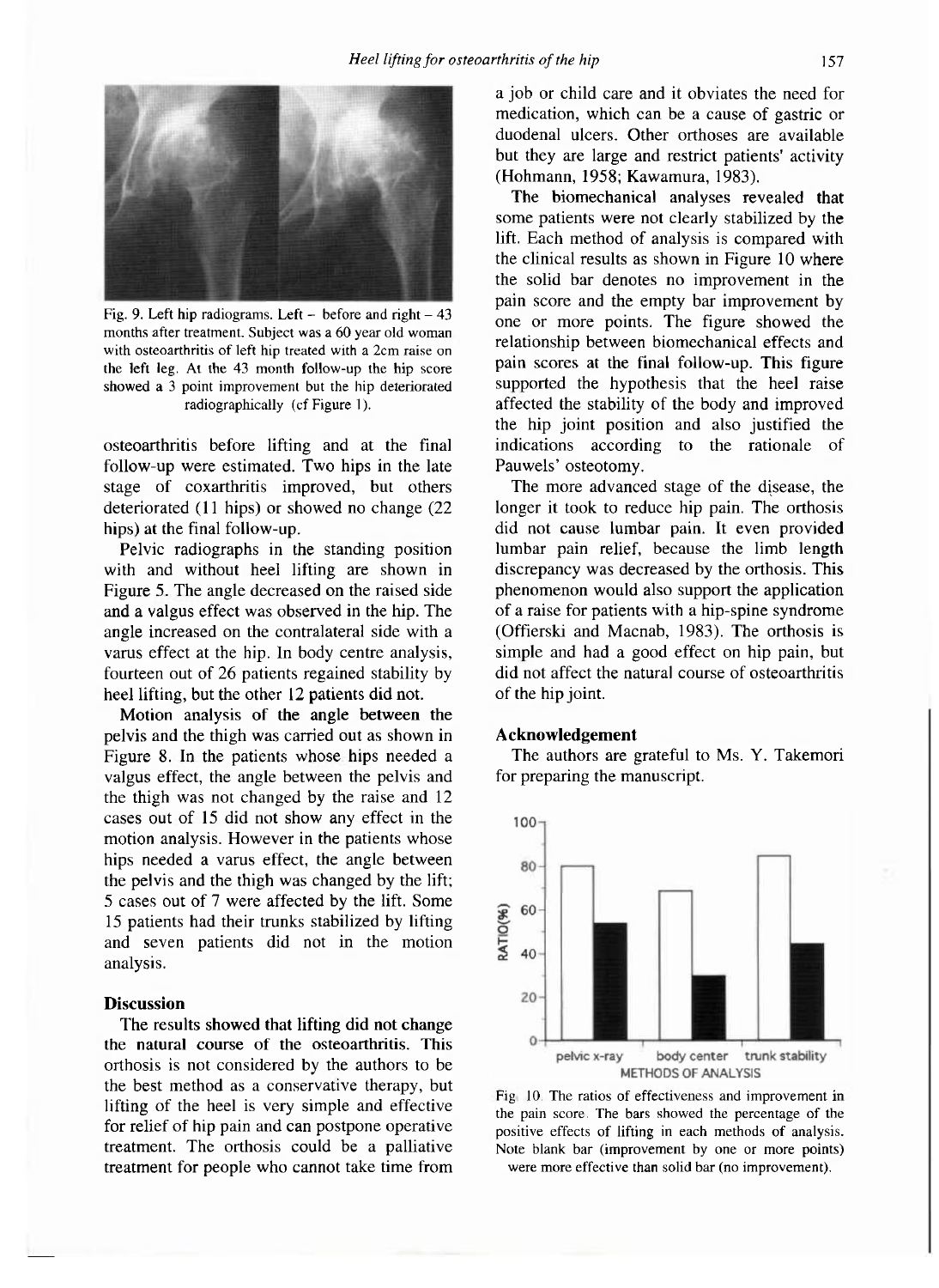

Fig. 9. Left hip radiograms. Left  $-$  before and right  $-43$ months after treatment. Subject was a 60 year old woman with osteoarthritis of left hip treated with a 2cm raise on the left leg. At the 43 month follow-up the hip score showed a 3 point improvement but the hip deteriorated radiographically (cf Figure 1).

osteoarthritis before lifting and at the final follow-up were estimated. Two hips in the late stage of coxarthritis improved, but others deteriorated (11 hips) or showed no change (22 hips) at the final follow-up.

Pelvic radiographs in the standing position with and without heel lifting are shown in Figure 5. The angle decreased on the raised side and a valgus effect was observed in the hip. The angle increased on the contralateral side with a varus effect at the hip. In body centre analysis, fourteen out of 26 patients regained stability by heel lifting, but the other 12 patients did not.

Motion analysis of the angle between the pelvis and the thigh was carried out as shown in Figure 8. In the patients whose hips needed a valgus effect, the angle between the pelvis and the thigh was not changed by the raise and 12 cases out of 15 did not show any effect in the motion analysis. However in the patients whose hips needed a varus effect, the angle between the pelvis and the thigh was changed by the lift; 5 cases out of 7 were affected by the lift. Some 15 patients had their trunks stabilized by lifting and seven patients did not in the motion analysis.

## **Discussion**

The results showed that lifting did not change the natural course of the osteoarthritis. This orthosis is not considered by the authors to be the best method as a conservative therapy, but lifting of the heel is very simple and effective for relief of hip pain and can postpone operative treatment. The orthosis could be a palliative treatment for people who cannot take time from a job or child care and it obviates the need for medication, which can be a cause of gastric or duodenal ulcers. Other orthoses are available but they are large and restrict patients' activity (Hohmann, 1958; Kawamura, 1983).

The biomechanical analyses revealed that some patients were not clearly stabilized by the lift. Each method of analysis is compared with the clinical results as shown in Figure 10 where the solid bar denotes no improvement in the pain score and the empty bar improvement by one or more points. The figure showed the relationship between biomechanical effects and pain scores at the final follow-up. This figure supported the hypothesis that the heel raise affected the stability of the body and improved the hip joint position and also justified the indications according to the rationale of Pauwels' osteotomy.

The more advanced stage of the disease, the longer it took to reduce hip pain. The orthosis did not cause lumbar pain. It even provided lumbar pain relief, because the limb length discrepancy was decreased by the orthosis. This phenomenon would also support the application of a raise for patients with a hip-spine syndrome (Offierskl and Macnab, 1983). The orthosis is simple and had a good effect on hip pain, but did not affect the natural course of osteoarthritis of the hip joint.

#### **Acknowledgement**

The authors are grateful to Ms. Y. Takemori for preparing the manuscript.



Fig. 10. The ratios of effectiveness and improvement in the pain score. The bars showed the percentage of the positive effects of lifting in each methods of analysis. Note blank bar (improvement by one or more points) were more effective than solid bar (no improvement).